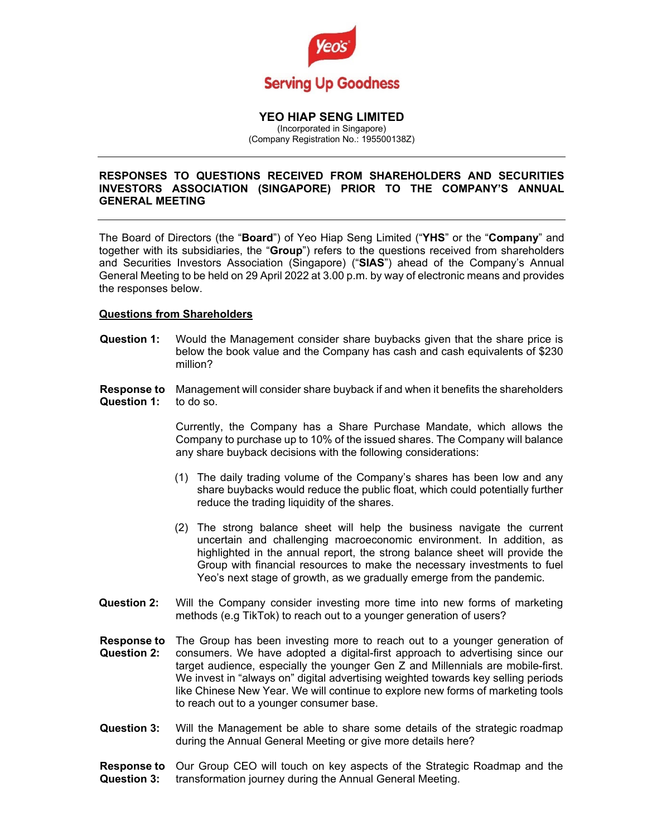

# **YEO HIAP SENG LIMITED**

(Incorporated in Singapore) (Company Registration No.: 195500138Z)

## **RESPONSES TO QUESTIONS RECEIVED FROM SHAREHOLDERS AND SECURITIES INVESTORS ASSOCIATION (SINGAPORE) PRIOR TO THE COMPANY'S ANNUAL GENERAL MEETING**

The Board of Directors (the "**Board**") of Yeo Hiap Seng Limited ("**YHS**" or the "**Company**" and together with its subsidiaries, the "**Group**") refers to the questions received from shareholders and Securities Investors Association (Singapore) ("**SIAS**") ahead of the Company's Annual General Meeting to be held on 29 April 2022 at 3.00 p.m. by way of electronic means and provides the responses below.

### **Questions from Shareholders**

**Question 1:** Would the Management consider share buybacks given that the share price is below the book value and the Company has cash and cash equivalents of \$230 million?

**Response to Question 1:**  Management will consider share buyback if and when it benefits the shareholders to do so.

> Currently, the Company has a Share Purchase Mandate, which allows the Company to purchase up to 10% of the issued shares. The Company will balance any share buyback decisions with the following considerations:

- (1) The daily trading volume of the Company's shares has been low and any share buybacks would reduce the public float, which could potentially further reduce the trading liquidity of the shares.
- (2) The strong balance sheet will help the business navigate the current uncertain and challenging macroeconomic environment. In addition, as highlighted in the annual report, the strong balance sheet will provide the Group with financial resources to make the necessary investments to fuel Yeo's next stage of growth, as we gradually emerge from the pandemic.
- **Question 2:** Will the Company consider investing more time into new forms of marketing methods (e.g TikTok) to reach out to a younger generation of users?
- **Response to Question 2:**  The Group has been investing more to reach out to a younger generation of consumers. We have adopted a digital-first approach to advertising since our target audience, especially the younger Gen Z and Millennials are mobile-first. We invest in "always on" digital advertising weighted towards key selling periods like Chinese New Year. We will continue to explore new forms of marketing tools to reach out to a younger consumer base.
- **Question 3:** Will the Management be able to share some details of the strategic roadmap during the Annual General Meeting or give more details here?
- **Response to**  Our Group CEO will touch on key aspects of the Strategic Roadmap and the **Question 3:**  transformation journey during the Annual General Meeting.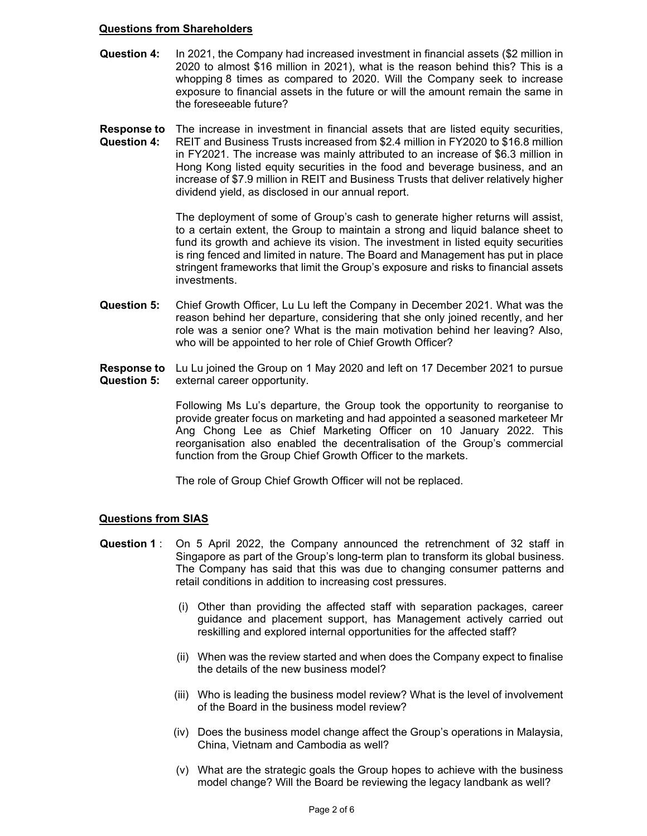### **Questions from Shareholders**

- **Question 4:** In 2021, the Company had increased investment in financial assets (\$2 million in 2020 to almost \$16 million in 2021), what is the reason behind this? This is a whopping 8 times as compared to 2020. Will the Company seek to increase exposure to financial assets in the future or will the amount remain the same in the foreseeable future?
- **Response to**  The increase in investment in financial assets that are listed equity securities, **Question 4:**  REIT and Business Trusts increased from \$2.4 million in FY2020 to \$16.8 million in FY2021. The increase was mainly attributed to an increase of \$6.3 million in Hong Kong listed equity securities in the food and beverage business, and an increase of \$7.9 million in REIT and Business Trusts that deliver relatively higher dividend yield, as disclosed in our annual report.

The deployment of some of Group's cash to generate higher returns will assist, to a certain extent, the Group to maintain a strong and liquid balance sheet to fund its growth and achieve its vision. The investment in listed equity securities is ring fenced and limited in nature. The Board and Management has put in place stringent frameworks that limit the Group's exposure and risks to financial assets investments.

- **Question 5:** Chief Growth Officer, Lu Lu left the Company in December 2021. What was the reason behind her departure, considering that she only joined recently, and her role was a senior one? What is the main motivation behind her leaving? Also, who will be appointed to her role of Chief Growth Officer?
- **Response to**  Lu Lu joined the Group on 1 May 2020 and left on 17 December 2021 to pursue **Question 5:**  external career opportunity.

Following Ms Lu's departure, the Group took the opportunity to reorganise to provide greater focus on marketing and had appointed a seasoned marketeer Mr Ang Chong Lee as Chief Marketing Officer on 10 January 2022. This reorganisation also enabled the decentralisation of the Group's commercial function from the Group Chief Growth Officer to the markets.

The role of Group Chief Growth Officer will not be replaced.

# **Questions from SIAS**

- **Question 1** : On 5 April 2022, the Company announced the retrenchment of 32 staff in Singapore as part of the Group's long-term plan to transform its global business. The Company has said that this was due to changing consumer patterns and retail conditions in addition to increasing cost pressures.
	- (i) Other than providing the affected staff with separation packages, career guidance and placement support, has Management actively carried out reskilling and explored internal opportunities for the affected staff?
	- (ii) When was the review started and when does the Company expect to finalise the details of the new business model?
	- (iii) Who is leading the business model review? What is the level of involvement of the Board in the business model review?
	- (iv) Does the business model change affect the Group's operations in Malaysia, China, Vietnam and Cambodia as well?
	- (v) What are the strategic goals the Group hopes to achieve with the business model change? Will the Board be reviewing the legacy landbank as well?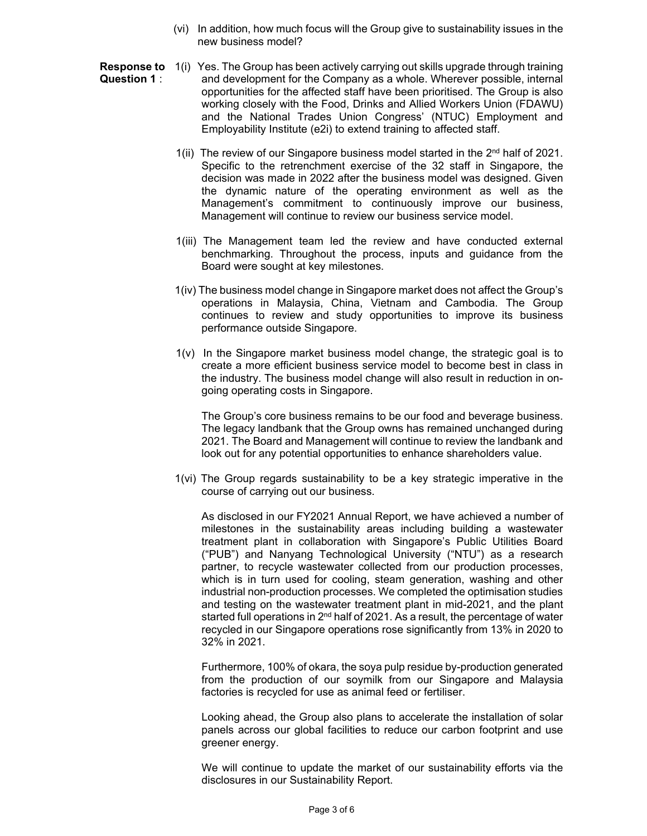- (vi) In addition, how much focus will the Group give to sustainability issues in the new business model?
- **Response to**  1(i) Yes. The Group has been actively carrying out skills upgrade through training **Question 1** : and development for the Company as a whole. Wherever possible, internal opportunities for the affected staff have been prioritised. The Group is also working closely with the Food, Drinks and Allied Workers Union (FDAWU) and the National Trades Union Congress' (NTUC) Employment and Employability Institute (e2i) to extend training to affected staff.
	- 1(ii) The review of our Singapore business model started in the  $2<sup>nd</sup>$  half of 2021. Specific to the retrenchment exercise of the 32 staff in Singapore, the decision was made in 2022 after the business model was designed. Given the dynamic nature of the operating environment as well as the Management's commitment to continuously improve our business, Management will continue to review our business service model.
	- 1(iii) The Management team led the review and have conducted external benchmarking. Throughout the process, inputs and guidance from the Board were sought at key milestones.
	- 1(iv) The business model change in Singapore market does not affect the Group's operations in Malaysia, China, Vietnam and Cambodia. The Group continues to review and study opportunities to improve its business performance outside Singapore.
	- 1(v) In the Singapore market business model change, the strategic goal is to create a more efficient business service model to become best in class in the industry. The business model change will also result in reduction in ongoing operating costs in Singapore.

The Group's core business remains to be our food and beverage business. The legacy landbank that the Group owns has remained unchanged during 2021. The Board and Management will continue to review the landbank and look out for any potential opportunities to enhance shareholders value.

 1(vi) The Group regards sustainability to be a key strategic imperative in the course of carrying out our business.

As disclosed in our FY2021 Annual Report, we have achieved a number of milestones in the sustainability areas including building a wastewater treatment plant in collaboration with Singapore's Public Utilities Board ("PUB") and Nanyang Technological University ("NTU") as a research partner, to recycle wastewater collected from our production processes, which is in turn used for cooling, steam generation, washing and other industrial non-production processes. We completed the optimisation studies and testing on the wastewater treatment plant in mid-2021, and the plant started full operations in  $2<sup>nd</sup>$  half of 2021. As a result, the percentage of water recycled in our Singapore operations rose significantly from 13% in 2020 to 32% in 2021.

Furthermore, 100% of okara, the soya pulp residue by-production generated from the production of our soymilk from our Singapore and Malaysia factories is recycled for use as animal feed or fertiliser.

Looking ahead, the Group also plans to accelerate the installation of solar panels across our global facilities to reduce our carbon footprint and use greener energy.

We will continue to update the market of our sustainability efforts via the disclosures in our Sustainability Report.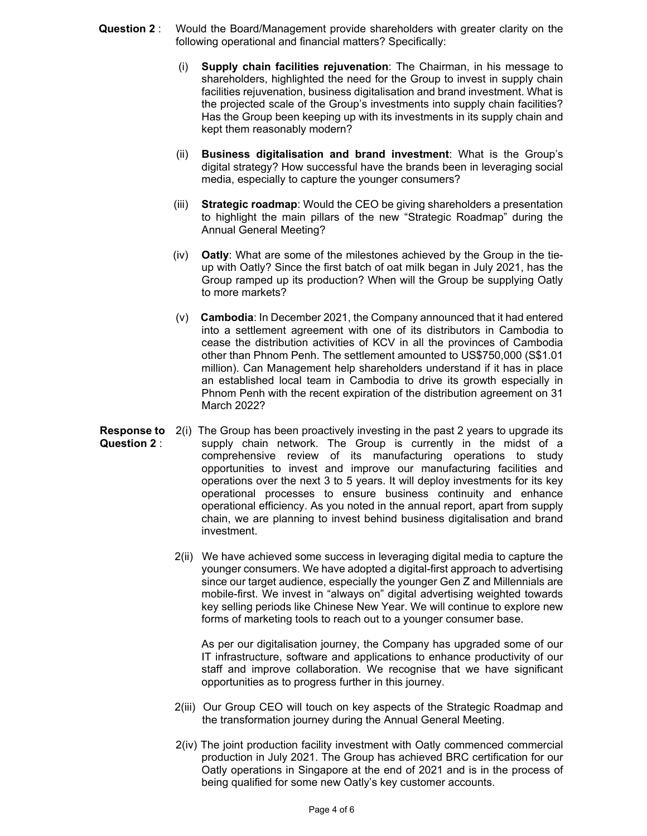- **Question 2** : Would the Board/Management provide shareholders with greater clarity on the following operational and financial matters? Specifically:
	- (i) **Supply chain facilities rejuvenation**: The Chairman, in his message to shareholders, highlighted the need for the Group to invest in supply chain facilities rejuvenation, business digitalisation and brand investment. What is the projected scale of the Group's investments into supply chain facilities? Has the Group been keeping up with its investments in its supply chain and kept them reasonably modern?
	- (ii) **Business digitalisation and brand investment**: What is the Group's digital strategy? How successful have the brands been in leveraging social media, especially to capture the younger consumers?
	- (iii) **Strategic roadmap**: Would the CEO be giving shareholders a presentation to highlight the main pillars of the new "Strategic Roadmap" during the Annual General Meeting?
	- (iv) **Oatly**: What are some of the milestones achieved by the Group in the tieup with Oatly? Since the first batch of oat milk began in July 2021, has the Group ramped up its production? When will the Group be supplying Oatly to more markets?
	- (v) **Cambodia**: In December 2021, the Company announced that it had entered into a settlement agreement with one of its distributors in Cambodia to cease the distribution activities of KCV in all the provinces of Cambodia other than Phnom Penh. The settlement amounted to US\$750,000 (S\$1.01 million). Can Management help shareholders understand if it has in place an established local team in Cambodia to drive its growth especially in Phnom Penh with the recent expiration of the distribution agreement on 31 March 2022?
- **Response to** 2(i) The Group has been proactively investing in the past 2 years to upgrade its **Question 2** : supply chain network. The Group is currently in the midst of a comprehensive review of its manufacturing operations to study opportunities to invest and improve our manufacturing facilities and operations over the next 3 to 5 years. It will deploy investments for its key operational processes to ensure business continuity and enhance operational efficiency. As you noted in the annual report, apart from supply chain, we are planning to invest behind business digitalisation and brand investment.
	- 2(ii) We have achieved some success in leveraging digital media to capture the younger consumers. We have adopted a digital-first approach to advertising since our target audience, especially the younger Gen Z and Millennials are mobile-first. We invest in "always on" digital advertising weighted towards key selling periods like Chinese New Year. We will continue to explore new forms of marketing tools to reach out to a younger consumer base.

As per our digitalisation journey, the Company has upgraded some of our IT infrastructure, software and applications to enhance productivity of our staff and improve collaboration. We recognise that we have significant opportunities as to progress further in this journey.

- 2(iii) Our Group CEO will touch on key aspects of the Strategic Roadmap and the transformation journey during the Annual General Meeting.
- 2(iv) The joint production facility investment with Oatly commenced commercial production in July 2021. The Group has achieved BRC certification for our Oatly operations in Singapore at the end of 2021 and is in the process of being qualified for some new Oatly's key customer accounts.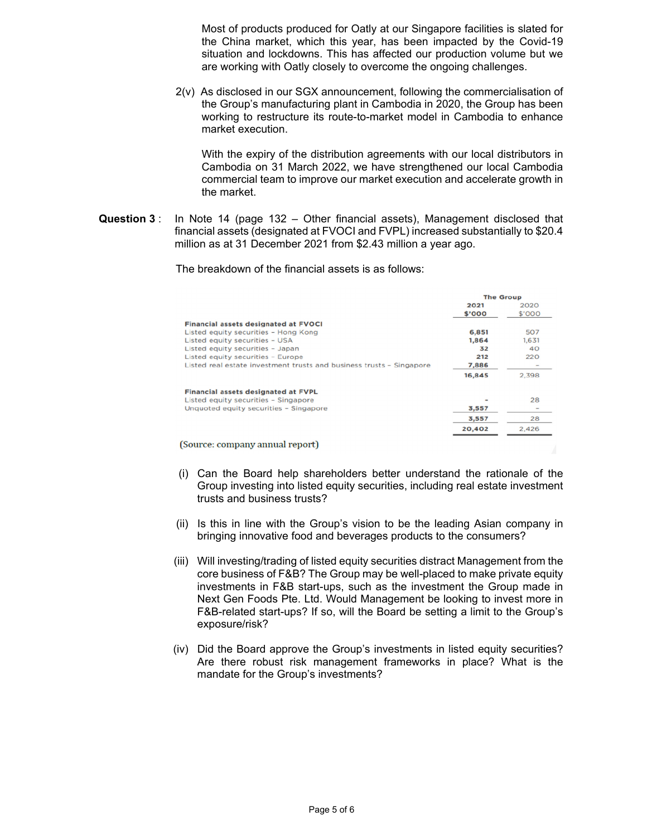Most of products produced for Oatly at our Singapore facilities is slated for the China market, which this year, has been impacted by the Covid-19 situation and lockdowns. This has affected our production volume but we are working with Oatly closely to overcome the ongoing challenges.

2(v) As disclosed in our SGX announcement, following the commercialisation of the Group's manufacturing plant in Cambodia in 2020, the Group has been working to restructure its route-to-market model in Cambodia to enhance market execution.

With the expiry of the distribution agreements with our local distributors in Cambodia on 31 March 2022, we have strengthened our local Cambodia commercial team to improve our market execution and accelerate growth in the market.

**Question 3** : In Note 14 (page 132 – Other financial assets), Management disclosed that financial assets (designated at FVOCI and FVPL) increased substantially to \$20.4 million as at 31 December 2021 from \$2.43 million a year ago.

The breakdown of the financial assets is as follows:

|                                                                      | <b>The Group</b> |        |
|----------------------------------------------------------------------|------------------|--------|
|                                                                      | 2021             | 2020   |
|                                                                      | \$'000           | \$'000 |
| <b>Financial assets designated at FVOCI</b>                          |                  |        |
| Listed equity securities - Hong Kong                                 | 6,851            | 507    |
| Listed equity securities - USA                                       | 1,864            | 1,631  |
| Listed equity securities - Japan                                     | 32               | 40     |
| <b>Listed equity securities - Europe</b>                             | 212              | 220    |
| Listed real estate investment trusts and business trusts - Singapore | 7,886            |        |
|                                                                      | 16,845           | 2,398  |
| <b>Financial assets designated at FVPL</b>                           |                  |        |
| Listed equity securities - Singapore                                 |                  | 28     |
| Unquoted equity securities - Singapore                               | 3,557            |        |
|                                                                      | 3.557            | 28     |
|                                                                      | 20,402           | 2.426  |
| $\sim$                                                               |                  |        |

(Source: company annual report)

- (i) Can the Board help shareholders better understand the rationale of the Group investing into listed equity securities, including real estate investment trusts and business trusts?
- (ii) Is this in line with the Group's vision to be the leading Asian company in bringing innovative food and beverages products to the consumers?
- (iii) Will investing/trading of listed equity securities distract Management from the core business of F&B? The Group may be well-placed to make private equity investments in F&B start-ups, such as the investment the Group made in Next Gen Foods Pte. Ltd. Would Management be looking to invest more in F&B-related start-ups? If so, will the Board be setting a limit to the Group's exposure/risk?
- (iv) Did the Board approve the Group's investments in listed equity securities? Are there robust risk management frameworks in place? What is the mandate for the Group's investments?